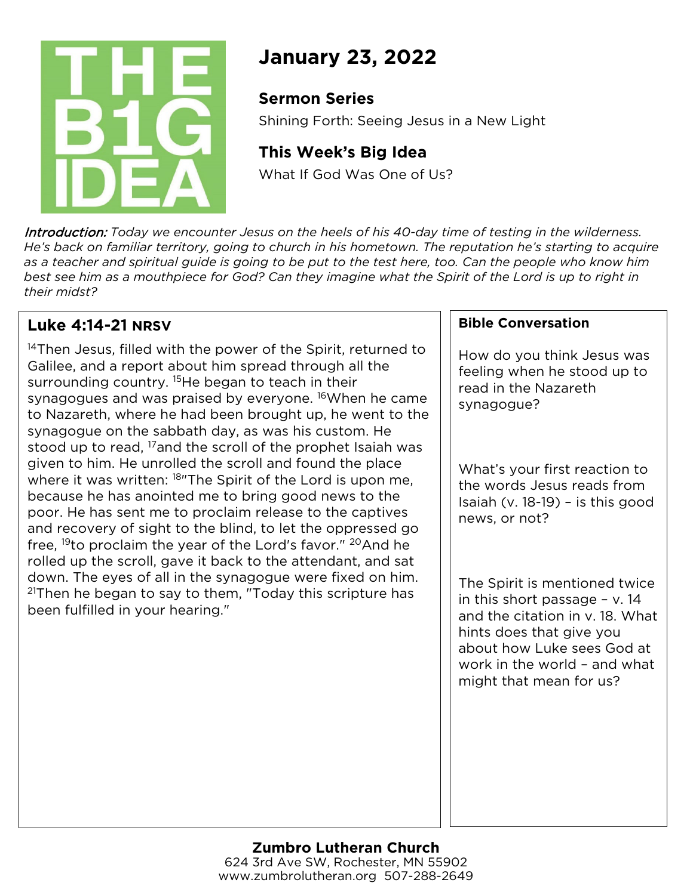

# **January 23, 2022**

## **Sermon Series**

Shining Forth: Seeing Jesus in a New Light

## **This Week's Big Idea**

What If God Was One of Us?

Introduction: *Today we encounter Jesus on the heels of his 40-day time of testing in the wilderness. He's back on familiar territory, going to church in his hometown. The reputation he's starting to acquire as a teacher and spiritual guide is going to be put to the test here, too. Can the people who know him best see him as a mouthpiece for God? Can they imagine what the Spirit of the Lord is up to right in their midst?*

## **Luke 4:14-21 NRSV**

<sup>14</sup>Then Jesus, filled with the power of the Spirit, returned to Galilee, and a report about him spread through all the surrounding country. <sup>15</sup>He began to teach in their synagogues and was praised by everyone. <sup>16</sup> When he came to Nazareth, where he had been brought up, he went to the synagogue on the sabbath day, as was his custom. He stood up to read, <sup>17</sup>and the scroll of the prophet Isaiah was given to him. He unrolled the scroll and found the place where it was written: <sup>18</sup>"The Spirit of the Lord is upon me, because he has anointed me to bring good news to the poor. He has sent me to proclaim release to the captives and recovery of sight to the blind, to let the oppressed go free, 19to proclaim the year of the Lord's favor." 20And he rolled up the scroll, gave it back to the attendant, and sat down. The eyes of all in the synagogue were fixed on him.  $21$ Then he began to say to them, "Today this scripture has been fulfilled in your hearing."

### **Bible Conversation**

How do you think Jesus was feeling when he stood up to read in the Nazareth synagogue?

What's your first reaction to the words Jesus reads from Isaiah (v. 18-19) – is this good news, or not?

The Spirit is mentioned twice in this short passage – v. 14 and the citation in v. 18. What hints does that give you about how Luke sees God at work in the world – and what might that mean for us?

#### **Zumbro Lutheran Church** 624 3rd Ave SW, Rochester, MN 55902 www.zumbrolutheran.org 507-288-2649